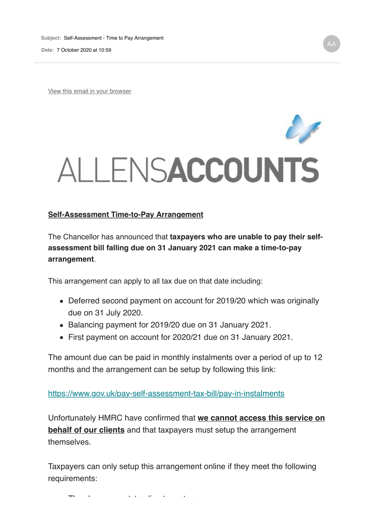**Date:** 7 October 2020 at 10:59

View this email in your browser



## **Self-Assessment Time-to-Pay Arrangement**

The Chancellor has announced that **taxpayers who are unable to pay their selfassessment bill falling due on 31 January 2021 can make a time-to-pay arrangement**.

This arrangement can apply to all tax due on that date including:

- Deferred second payment on account for 2019/20 which was originally due on 31 July 2020.
- Balancing payment for 2019/20 due on 31 January 2021.
- First payment on account for 2020/21 due on 31 January 2021.

The amount due can be paid in monthly instalments over a period of up to 12 months and the arrangement can be setup by following this link:

https://www.gov.uk/pay-self-assessment-tax-bill/pay-in-instalments

Unfortunately HMRC have confirmed that **we cannot access this service on behalf of our clients** and that taxpayers must setup the arrangement themselves.

Taxpayers can only setup this arrangement online if they meet the following requirements:

They have no outstanding tax returns.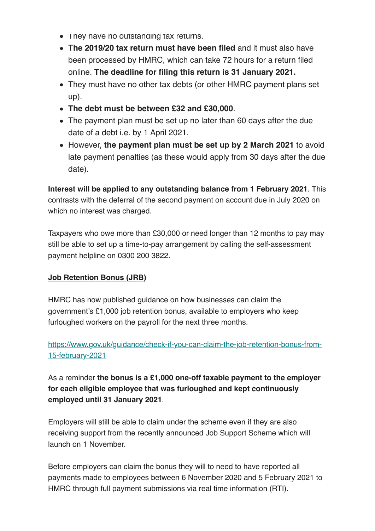- I ney nave no outstanding tax returns.
- T**he 2019/20 tax return must have been filed** and it must also have been processed by HMRC, which can take 72 hours for a return filed online. **The deadline for filing this return is 31 January 2021.**
- They must have no other tax debts (or other HMRC payment plans set up).
- **The debt must be between £32 and £30,000**.
- The payment plan must be set up no later than 60 days after the due date of a debt i.e. by 1 April 2021.
- However, **the payment plan must be set up by 2 March 2021** to avoid late payment penalties (as these would apply from 30 days after the due date).

**Interest will be applied to any outstanding balance from 1 February 2021**. This contrasts with the deferral of the second payment on account due in July 2020 on which no interest was charged.

Taxpayers who owe more than £30,000 or need longer than 12 months to pay may still be able to set up a time-to-pay arrangement by calling the self-assessment payment helpline on 0300 200 3822.

## **Job Retention Bonus (JRB)**

HMRC has now published guidance on how businesses can claim the government's £1,000 job retention bonus, available to employers who keep furloughed workers on the payroll for the next three months.

https://www.gov.uk/guidance/check-if-you-can-claim-the-job-retention-bonus-from-15-february-2021

As a reminder **the bonus is a £1,000 one-off taxable payment to the employer for each eligible employee that was furloughed and kept continuously employed until 31 January 2021**.

Employers will still be able to claim under the scheme even if they are also receiving support from the recently announced Job Support Scheme which will launch on 1 November.

Before employers can claim the bonus they will to need to have reported all payments made to employees between 6 November 2020 and 5 February 2021 to HMRC through full payment submissions via real time information (RTI).